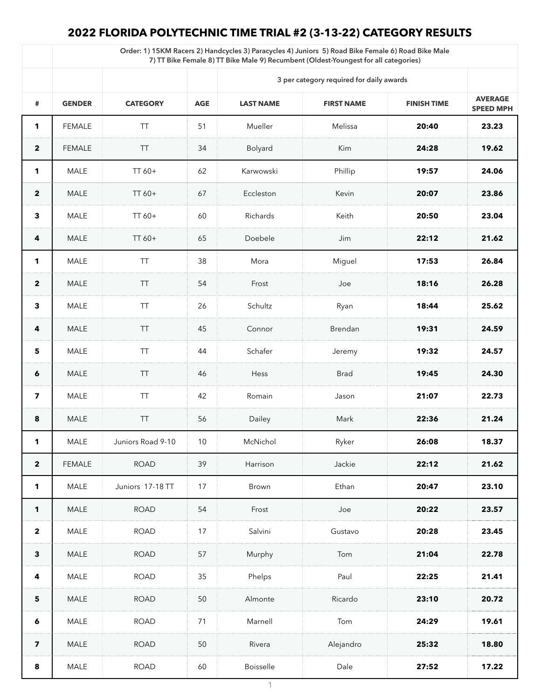## **2022 FLORIDA POLYTECHNIC TIME TRIAL #2 (3-13-22) CATEGORY RESULTS**

|                         | Order: 1) 15KM Racers 2) Handcycles 3) Paracycles 4) Juniors 5) Road Bike Female 6) Road Bike Male<br>7) TT Bike Female 8) TT Bike Male 9) Recumbent (Oldest-Youngest for all categories) |                   |            |                                          |                   |                    |                                    |  |  |  |
|-------------------------|-------------------------------------------------------------------------------------------------------------------------------------------------------------------------------------------|-------------------|------------|------------------------------------------|-------------------|--------------------|------------------------------------|--|--|--|
|                         |                                                                                                                                                                                           |                   |            | 3 per category required for daily awards |                   |                    |                                    |  |  |  |
| #                       | <b>GENDER</b>                                                                                                                                                                             | <b>CATEGORY</b>   | <b>AGE</b> | <b>LAST NAME</b>                         | <b>FIRST NAME</b> | <b>FINISH TIME</b> | <b>AVERAGE</b><br><b>SPEED MPH</b> |  |  |  |
| $\mathbf 1$             | <b>FEMALE</b>                                                                                                                                                                             | <b>TT</b>         | 51         | Mueller                                  | Melissa           | 20:40              | 23.23                              |  |  |  |
| $\boldsymbol{2}$        | <b>FEMALE</b>                                                                                                                                                                             | TT                | 34         | <b>Bolyard</b>                           | <b>Kim</b>        | 24:28              | 19.62                              |  |  |  |
| 1                       | <b>MALE</b>                                                                                                                                                                               | TT 60+            | 62         | Karwowski                                | Phillip           | 19:57              | 24.06                              |  |  |  |
| $\overline{2}$          | <b>MALE</b>                                                                                                                                                                               | $TT60+$           | 67         | Eccleston                                | Kevin             | 20:07              | 23.86                              |  |  |  |
| $\mathbf{3}$            | <b>MALE</b>                                                                                                                                                                               | $TT60+$           | 60         | Richards                                 | Keith             | 20:50              | 23.04                              |  |  |  |
| 4                       | <b>MALE</b>                                                                                                                                                                               | $TT60+$           | 65         | Doebele                                  | Jim               | 22:12              | 21.62                              |  |  |  |
| 1                       | <b>MALE</b>                                                                                                                                                                               | ТT                | 38         | Mora                                     | Miguel            | 17:53              | 26.84                              |  |  |  |
| $\overline{2}$          | <b>MALE</b>                                                                                                                                                                               | <b>TT</b>         | 54         | Frost                                    | Joe               | 18:16              | 26.28                              |  |  |  |
| $\boldsymbol{3}$        | <b>MALE</b>                                                                                                                                                                               | TT                | 26         | Schultz                                  | Ryan              | 18:44              | 25.62                              |  |  |  |
| 4                       | <b>MALE</b>                                                                                                                                                                               | <b>TT</b>         | 45         | Connor                                   | Brendan           | 19:31              | 24.59                              |  |  |  |
| $5\phantom{1}$          | <b>MALE</b>                                                                                                                                                                               | TT                | 44         | Schafer                                  | Jeremy            | 19:32              | 24.57                              |  |  |  |
| $\boldsymbol{6}$        | <b>MALE</b>                                                                                                                                                                               | <b>TT</b>         | 46         | Hess                                     | Brad              | 19:45              | 24.30                              |  |  |  |
| $\overline{\mathbf{z}}$ | <b>MALE</b>                                                                                                                                                                               | TT                | 42         | Romain                                   | Jason             | 21:07              | 22.73                              |  |  |  |
| 8                       | <b>MALE</b>                                                                                                                                                                               | <b>TT</b>         | 56         | Dailey                                   | Mark              | 22:36              | 21.24                              |  |  |  |
| 1                       | <b>MALE</b>                                                                                                                                                                               | Juniors Road 9-10 | 10         | McNichol                                 | Ryker             | 26:08              | 18.37                              |  |  |  |
| $\overline{2}$          | <b>FEMALE</b>                                                                                                                                                                             | <b>ROAD</b>       | 39         | Harrison                                 | Jackie            | 22:12              | 21.62                              |  |  |  |
| 1                       | <b>MALE</b>                                                                                                                                                                               | Juniors 17-18 TT  | 17         | <b>Brown</b>                             | Ethan             | 20:47              | 23.10                              |  |  |  |
|                         | <b>MALE</b>                                                                                                                                                                               | <b>ROAD</b>       | 54         | Frost                                    | Joe               | 20:22              | 23.57                              |  |  |  |
| $\overline{2}$          | <b>MALE</b>                                                                                                                                                                               | <b>ROAD</b>       | 17         | Salvini                                  | Gustavo           | 20:28              | 23.45                              |  |  |  |
| $\mathbf{3}$            | <b>MALE</b>                                                                                                                                                                               | <b>ROAD</b>       | 57         | Murphy                                   | Tom               | 21:04              | 22.78                              |  |  |  |
| 4                       | <b>MALE</b>                                                                                                                                                                               | <b>ROAD</b>       | 35         | Phelps                                   | Paul              | 22:25              | 21.41                              |  |  |  |
| 5                       | <b>MALE</b>                                                                                                                                                                               | <b>ROAD</b>       | 50         | Almonte                                  | Ricardo           | 23:10              | 20.72                              |  |  |  |
| 6                       | <b>MALE</b>                                                                                                                                                                               | <b>ROAD</b>       | 71         | Marnell                                  | Tom               | 24:29              | 19.61                              |  |  |  |
| $\overline{\mathbf{z}}$ | <b>MALE</b>                                                                                                                                                                               | <b>ROAD</b>       | 50         | Rivera                                   | Alejandro         | 25:32              | 18.80                              |  |  |  |
| 8                       | <b>MALE</b>                                                                                                                                                                               | <b>ROAD</b>       | 60         | <b>Boisselle</b>                         | Dale              | 27:52              | 17.22                              |  |  |  |